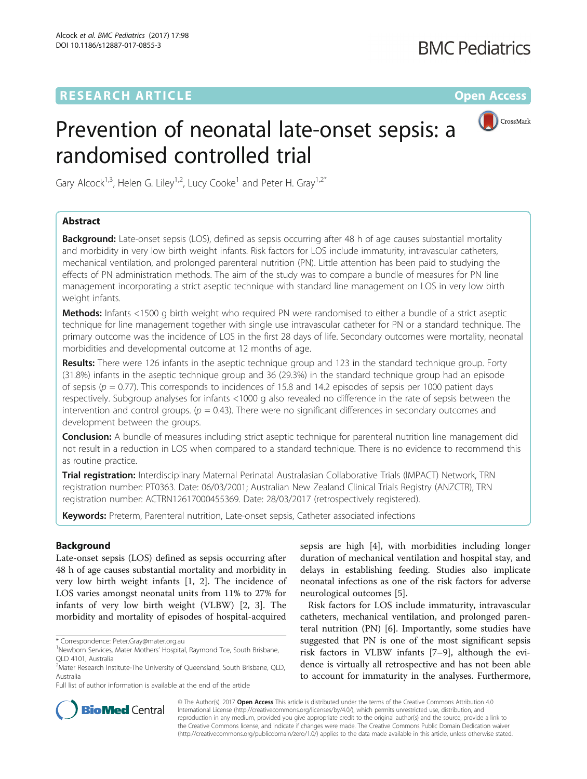# **RESEARCH ARTICLE External Structure Community Community Community Community Community Community Community Community**



# Prevention of neonatal late-onset sepsis: a randomised controlled trial

Gary Alcock<sup>1,3</sup>, Helen G. Liley<sup>1,2</sup>, Lucy Cooke<sup>1</sup> and Peter H. Gray<sup>1,2\*</sup>

# Abstract

**Background:** Late-onset sepsis (LOS), defined as sepsis occurring after 48 h of age causes substantial mortality and morbidity in very low birth weight infants. Risk factors for LOS include immaturity, intravascular catheters, mechanical ventilation, and prolonged parenteral nutrition (PN). Little attention has been paid to studying the effects of PN administration methods. The aim of the study was to compare a bundle of measures for PN line management incorporating a strict aseptic technique with standard line management on LOS in very low birth weight infants.

Methods: Infants <1500 g birth weight who required PN were randomised to either a bundle of a strict aseptic technique for line management together with single use intravascular catheter for PN or a standard technique. The primary outcome was the incidence of LOS in the first 28 days of life. Secondary outcomes were mortality, neonatal morbidities and developmental outcome at 12 months of age.

Results: There were 126 infants in the aseptic technique group and 123 in the standard technique group. Forty (31.8%) infants in the aseptic technique group and 36 (29.3%) in the standard technique group had an episode of sepsis ( $p = 0.77$ ). This corresponds to incidences of 15.8 and 14.2 episodes of sepsis per 1000 patient days respectively. Subgroup analyses for infants <1000 g also revealed no difference in the rate of sepsis between the intervention and control groups. ( $p = 0.43$ ). There were no significant differences in secondary outcomes and development between the groups.

**Conclusion:** A bundle of measures including strict aseptic technique for parenteral nutrition line management did not result in a reduction in LOS when compared to a standard technique. There is no evidence to recommend this as routine practice.

Trial registration: Interdisciplinary Maternal Perinatal Australasian Collaborative Trials (IMPACT) Network, TRN registration number: PT0363. Date: 06/03/2001; Australian New Zealand Clinical Trials Registry (ANZCTR), TRN registration number: [ACTRN12617000455369](https://anzctr.org.au/Trial/Registration/TrialReview.aspx?id=372620). Date: 28/03/2017 (retrospectively registered).

Keywords: Preterm, Parenteral nutrition, Late-onset sepsis, Catheter associated infections

# Background

Late-onset sepsis (LOS) defined as sepsis occurring after 48 h of age causes substantial mortality and morbidity in very low birth weight infants [[1, 2](#page-5-0)]. The incidence of LOS varies amongst neonatal units from 11% to 27% for infants of very low birth weight (VLBW) [\[2](#page-5-0), [3\]](#page-5-0). The morbidity and mortality of episodes of hospital-acquired

Full list of author information is available at the end of the article

sepsis are high [\[4](#page-5-0)], with morbidities including longer duration of mechanical ventilation and hospital stay, and delays in establishing feeding. Studies also implicate neonatal infections as one of the risk factors for adverse neurological outcomes [\[5](#page-5-0)].

Risk factors for LOS include immaturity, intravascular catheters, mechanical ventilation, and prolonged parenteral nutrition (PN) [[6\]](#page-5-0). Importantly, some studies have suggested that PN is one of the most significant sepsis risk factors in VLBW infants [[7](#page-5-0)–[9](#page-5-0)], although the evidence is virtually all retrospective and has not been able to account for immaturity in the analyses. Furthermore,



© The Author(s). 2017 **Open Access** This article is distributed under the terms of the Creative Commons Attribution 4.0 International License [\(http://creativecommons.org/licenses/by/4.0/](http://creativecommons.org/licenses/by/4.0/)), which permits unrestricted use, distribution, and reproduction in any medium, provided you give appropriate credit to the original author(s) and the source, provide a link to the Creative Commons license, and indicate if changes were made. The Creative Commons Public Domain Dedication waiver [\(http://creativecommons.org/publicdomain/zero/1.0/](http://creativecommons.org/publicdomain/zero/1.0/)) applies to the data made available in this article, unless otherwise stated.

<sup>\*</sup> Correspondence: [Peter.Gray@mater.org.au](mailto:Peter.Gray@mater.org.au) <sup>1</sup>

<sup>&</sup>lt;sup>1</sup>Newborn Services, Mater Mothers' Hospital, Raymond Tce, South Brisbane, QLD 4101, Australia

<sup>&</sup>lt;sup>2</sup>Mater Research Institute-The University of Queensland, South Brisbane, QLD, Australia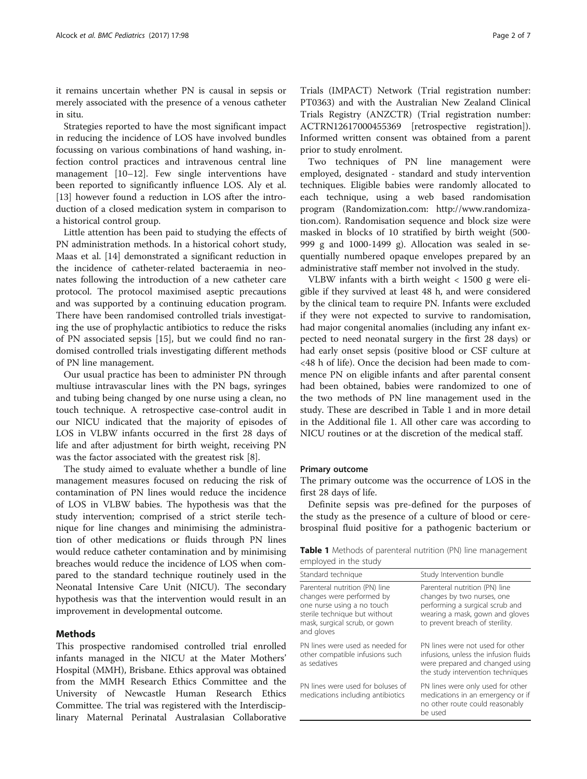it remains uncertain whether PN is causal in sepsis or merely associated with the presence of a venous catheter in situ.

Strategies reported to have the most significant impact in reducing the incidence of LOS have involved bundles focussing on various combinations of hand washing, infection control practices and intravenous central line management [[10](#page-5-0)–[12](#page-5-0)]. Few single interventions have been reported to significantly influence LOS. Aly et al. [[13\]](#page-5-0) however found a reduction in LOS after the introduction of a closed medication system in comparison to a historical control group.

Little attention has been paid to studying the effects of PN administration methods. In a historical cohort study, Maas et al. [\[14](#page-5-0)] demonstrated a significant reduction in the incidence of catheter-related bacteraemia in neonates following the introduction of a new catheter care protocol. The protocol maximised aseptic precautions and was supported by a continuing education program. There have been randomised controlled trials investigating the use of prophylactic antibiotics to reduce the risks of PN associated sepsis [\[15\]](#page-5-0), but we could find no randomised controlled trials investigating different methods of PN line management.

Our usual practice has been to administer PN through multiuse intravascular lines with the PN bags, syringes and tubing being changed by one nurse using a clean, no touch technique. A retrospective case-control audit in our NICU indicated that the majority of episodes of LOS in VLBW infants occurred in the first 28 days of life and after adjustment for birth weight, receiving PN was the factor associated with the greatest risk [[8\]](#page-5-0).

The study aimed to evaluate whether a bundle of line management measures focused on reducing the risk of contamination of PN lines would reduce the incidence of LOS in VLBW babies. The hypothesis was that the study intervention; comprised of a strict sterile technique for line changes and minimising the administration of other medications or fluids through PN lines would reduce catheter contamination and by minimising breaches would reduce the incidence of LOS when compared to the standard technique routinely used in the Neonatal Intensive Care Unit (NICU). The secondary hypothesis was that the intervention would result in an improvement in developmental outcome.

#### Methods

This prospective randomised controlled trial enrolled infants managed in the NICU at the Mater Mothers' Hospital (MMH), Brisbane. Ethics approval was obtained from the MMH Research Ethics Committee and the University of Newcastle Human Research Ethics Committee. The trial was registered with the Interdisciplinary Maternal Perinatal Australasian Collaborative Trials (IMPACT) Network (Trial registration number: PT0363) and with the Australian New Zealand Clinical Trials Registry (ANZCTR) (Trial registration number: ACTRN12617000455369 [retrospective registration]). Informed written consent was obtained from a parent prior to study enrolment.

Two techniques of PN line management were employed, designated - standard and study intervention techniques. Eligible babies were randomly allocated to each technique, using a web based randomisation program ([Randomization.com:](http://randomization.com) [http://www.randomiza](http://www.randomization.com)[tion.com\)](http://www.randomization.com). Randomisation sequence and block size were masked in blocks of 10 stratified by birth weight (500- 999 g and 1000-1499 g). Allocation was sealed in sequentially numbered opaque envelopes prepared by an administrative staff member not involved in the study.

VLBW infants with a birth weight < 1500 g were eligible if they survived at least 48 h, and were considered by the clinical team to require PN. Infants were excluded if they were not expected to survive to randomisation, had major congenital anomalies (including any infant expected to need neonatal surgery in the first 28 days) or had early onset sepsis (positive blood or CSF culture at <48 h of life). Once the decision had been made to commence PN on eligible infants and after parental consent had been obtained, babies were randomized to one of the two methods of PN line management used in the study. These are described in Table 1 and in more detail in the Additional file [1.](#page-5-0) All other care was according to NICU routines or at the discretion of the medical staff.

#### Primary outcome

The primary outcome was the occurrence of LOS in the first 28 days of life.

Definite sepsis was pre-defined for the purposes of the study as the presence of a culture of blood or cerebrospinal fluid positive for a pathogenic bacterium or

**Table 1** Methods of parenteral nutrition (PN) line management employed in the study

| Standard technique                                                                                                                                                        | Study Intervention bundle                                                                                                                                             |
|---------------------------------------------------------------------------------------------------------------------------------------------------------------------------|-----------------------------------------------------------------------------------------------------------------------------------------------------------------------|
| Parenteral nutrition (PN) line<br>changes were performed by<br>one nurse using a no touch<br>sterile technique but without<br>mask, surgical scrub, or gown<br>and gloves | Parenteral nutrition (PN) line<br>changes by two nurses, one<br>performing a surgical scrub and<br>wearing a mask, gown and gloves<br>to prevent breach of sterility. |
| PN lines were used as needed for<br>other compatible infusions such<br>as sedatives                                                                                       | PN lines were not used for other<br>infusions, unless the infusion fluids<br>were prepared and changed using<br>the study intervention techniques                     |
| PN lines were used for boluses of<br>medications including antibiotics                                                                                                    | PN lines were only used for other<br>medications in an emergency or if<br>no other route could reasonably<br>be used                                                  |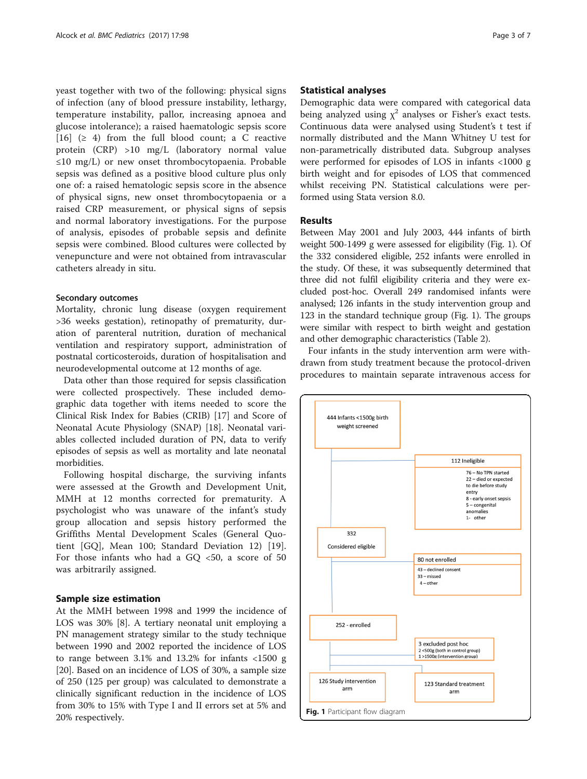yeast together with two of the following: physical signs of infection (any of blood pressure instability, lethargy, temperature instability, pallor, increasing apnoea and glucose intolerance); a raised haematologic sepsis score [[16\]](#page-5-0) ( $\geq$  4) from the full blood count; a C reactive protein (CRP) >10 mg/L (laboratory normal value ≤10 mg/L) or new onset thrombocytopaenia. Probable sepsis was defined as a positive blood culture plus only one of: a raised hematologic sepsis score in the absence of physical signs, new onset thrombocytopaenia or a raised CRP measurement, or physical signs of sepsis and normal laboratory investigations. For the purpose of analysis, episodes of probable sepsis and definite sepsis were combined. Blood cultures were collected by venepuncture and were not obtained from intravascular catheters already in situ.

#### Secondary outcomes

Mortality, chronic lung disease (oxygen requirement >36 weeks gestation), retinopathy of prematurity, duration of parenteral nutrition, duration of mechanical ventilation and respiratory support, administration of postnatal corticosteroids, duration of hospitalisation and neurodevelopmental outcome at 12 months of age.

Data other than those required for sepsis classification were collected prospectively. These included demographic data together with items needed to score the Clinical Risk Index for Babies (CRIB) [\[17](#page-5-0)] and Score of Neonatal Acute Physiology (SNAP) [[18\]](#page-5-0). Neonatal variables collected included duration of PN, data to verify episodes of sepsis as well as mortality and late neonatal morbidities.

Following hospital discharge, the surviving infants were assessed at the Growth and Development Unit, MMH at 12 months corrected for prematurity. A psychologist who was unaware of the infant's study group allocation and sepsis history performed the Griffiths Mental Development Scales (General Quotient [GQ], Mean 100; Standard Deviation 12) [\[19](#page-6-0)]. For those infants who had a  $GQ < 50$ , a score of 50 was arbitrarily assigned.

#### Sample size estimation

At the MMH between 1998 and 1999 the incidence of LOS was 30% [[8\]](#page-5-0). A tertiary neonatal unit employing a PN management strategy similar to the study technique between 1990 and 2002 reported the incidence of LOS to range between 3.1% and 13.2% for infants <1500 g [[20\]](#page-6-0). Based on an incidence of LOS of 30%, a sample size of 250 (125 per group) was calculated to demonstrate a clinically significant reduction in the incidence of LOS from 30% to 15% with Type I and II errors set at 5% and 20% respectively.

#### Statistical analyses

Demographic data were compared with categorical data being analyzed using  $\chi^2$  analyses or Fisher's exact tests. Continuous data were analysed using Student's t test if normally distributed and the Mann Whitney U test for non-parametrically distributed data. Subgroup analyses were performed for episodes of LOS in infants <1000 g birth weight and for episodes of LOS that commenced whilst receiving PN. Statistical calculations were performed using Stata version 8.0.

#### Results

Between May 2001 and July 2003, 444 infants of birth weight 500-1499 g were assessed for eligibility (Fig. 1). Of the 332 considered eligible, 252 infants were enrolled in the study. Of these, it was subsequently determined that three did not fulfil eligibility criteria and they were excluded post-hoc. Overall 249 randomised infants were analysed; 126 infants in the study intervention group and 123 in the standard technique group (Fig. 1). The groups were similar with respect to birth weight and gestation and other demographic characteristics (Table [2](#page-3-0)).

Four infants in the study intervention arm were withdrawn from study treatment because the protocol-driven procedures to maintain separate intravenous access for

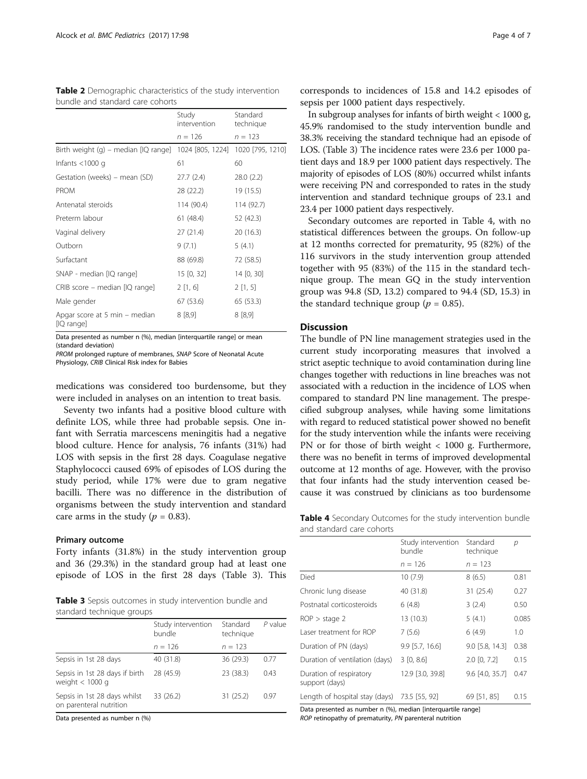<span id="page-3-0"></span>

| <b>Table 2</b> Demographic characteristics of the study intervention |  |
|----------------------------------------------------------------------|--|
| bundle and standard care cohorts                                     |  |

|                                                  | Study<br>intervention | Standard<br>technique |
|--------------------------------------------------|-----------------------|-----------------------|
|                                                  | $n = 126$             | $n = 123$             |
| Birth weight $(q)$ – median $[IQ \text{ range}]$ | 1024 [805, 1224]      | 1020 [795, 1210]      |
| Infants $<$ 1000 g                               | 61                    | 60                    |
| Gestation (weeks) – mean (SD)                    | 27.7(2.4)             | 28.0(2.2)             |
| <b>PROM</b>                                      | 28 (22.2)             | 19 (15.5)             |
| Antenatal steroids                               | 114 (90.4)            | 114 (92.7)            |
| Preterm labour                                   | 61(48.4)              | 52 (42.3)             |
| Vaginal delivery                                 | 27(21.4)              | 20 (16.3)             |
| Outborn                                          | 9(7.1)                | 5(4.1)                |
| Surfactant                                       | 88 (69.8)             | 72 (58.5)             |
| SNAP - median [IQ range]                         | 15 [0, 32]            | 14 [0, 30]            |
| CRIB score – median [IQ range]                   | 2[1, 6]               | 2[1, 5]               |
| Male gender                                      | 67 (53.6)             | 65 (53.3)             |
| Apgar score at 5 min – median<br>[IQ range]      | 8[8,9]                | 8[8,9]                |

Data presented as number n (%), median [interquartile range] or mean (standard deviation)

PROM prolonged rupture of membranes, SNAP Score of Neonatal Acute Physiology, CRIB Clinical Risk index for Babies

medications was considered too burdensome, but they were included in analyses on an intention to treat basis.

Seventy two infants had a positive blood culture with definite LOS, while three had probable sepsis. One infant with Serratia marcescens meningitis had a negative blood culture. Hence for analysis, 76 infants (31%) had LOS with sepsis in the first 28 days. Coagulase negative Staphylococci caused 69% of episodes of LOS during the study period, while 17% were due to gram negative bacilli. There was no difference in the distribution of organisms between the study intervention and standard care arms in the study ( $p = 0.83$ ).

#### Primary outcome

Forty infants (31.8%) in the study intervention group and 36 (29.3%) in the standard group had at least one episode of LOS in the first 28 days (Table 3). This

Table 3 Sepsis outcomes in study intervention bundle and standard technique groups

|                                                         | Study intervention<br>bundle | Standard<br>technique | $P$ value |
|---------------------------------------------------------|------------------------------|-----------------------|-----------|
|                                                         | $n = 126$                    | $n = 123$             |           |
| Sepsis in 1st 28 days                                   | 40 (31.8)                    | 36 (29.3)             | 0.77      |
| Sepsis in 1st 28 days if birth<br>weight $<$ 1000 g     | 28 (45.9)                    | 23(38.3)              | 0.43      |
| Sepsis in 1st 28 days whilst<br>on parenteral nutrition | 33 (26.2)                    | 31 (25.2)             | በ 97      |

Data presented as number n (%)

corresponds to incidences of 15.8 and 14.2 episodes of sepsis per 1000 patient days respectively.

In subgroup analyses for infants of birth weight  $< 1000$  g, 45.9% randomised to the study intervention bundle and 38.3% receiving the standard technique had an episode of LOS. (Table 3) The incidence rates were 23.6 per 1000 patient days and 18.9 per 1000 patient days respectively. The majority of episodes of LOS (80%) occurred whilst infants were receiving PN and corresponded to rates in the study intervention and standard technique groups of 23.1 and 23.4 per 1000 patient days respectively.

Secondary outcomes are reported in Table 4, with no statistical differences between the groups. On follow-up at 12 months corrected for prematurity, 95 (82%) of the 116 survivors in the study intervention group attended together with 95 (83%) of the 115 in the standard technique group. The mean GQ in the study intervention group was 94.8 (SD, 13.2) compared to 94.4 (SD, 15.3) in the standard technique group ( $p = 0.85$ ).

### **Discussion**

The bundle of PN line management strategies used in the current study incorporating measures that involved a strict aseptic technique to avoid contamination during line changes together with reductions in line breaches was not associated with a reduction in the incidence of LOS when compared to standard PN line management. The prespecified subgroup analyses, while having some limitations with regard to reduced statistical power showed no benefit for the study intervention while the infants were receiving PN or for those of birth weight < 1000 g. Furthermore, there was no benefit in terms of improved developmental outcome at 12 months of age. However, with the proviso that four infants had the study intervention ceased because it was construed by clinicians as too burdensome

Table 4 Secondary Outcomes for the study intervention bundle and standard care cohorts

|                                           | Study intervention<br>bundle | Standard<br>technique | р     |
|-------------------------------------------|------------------------------|-----------------------|-------|
|                                           | $n = 126$                    | $n = 123$             |       |
| Died                                      | 10(7.9)                      | 8(6.5)                | 0.81  |
| Chronic lung disease                      | 40 (31.8)                    | 31 (25.4)             | 0.27  |
| Postnatal corticosteroids                 | 6(4.8)                       | 3(2.4)                | 0.50  |
| ROP > stage 2                             | 13 (10.3)                    | 5(4.1)                | 0.085 |
| Laser treatment for ROP                   | 7(5.6)                       | 6(4.9)                | 1.0   |
| Duration of PN (days)                     | $9.9$ [5.7, 16.6]            | 9.0 [5.8, 14.3]       | 0.38  |
| Duration of ventilation (days)            | 3 [0, 8.6]                   | $2.0$ [0, 7.2]        | 0.15  |
| Duration of respiratory<br>support (days) | 12.9 [3.0, 39.8]             | 9.6 [4.0, 35.7]       | 0.47  |
| Length of hospital stay (days)            | 73.5 [55, 92]                | 69 [51, 85]           | 0.15  |

Data presented as number n (%), median [interquartile range]

ROP retinopathy of prematurity, PN parenteral nutrition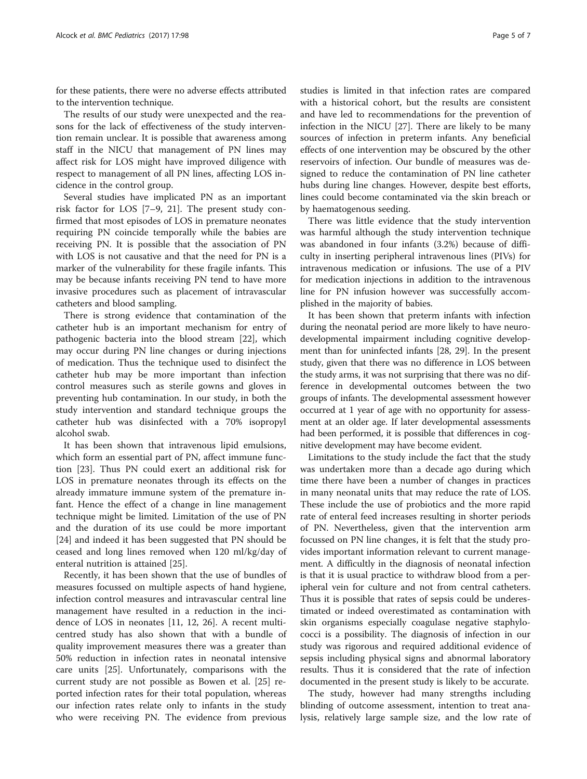for these patients, there were no adverse effects attributed to the intervention technique.

The results of our study were unexpected and the reasons for the lack of effectiveness of the study intervention remain unclear. It is possible that awareness among staff in the NICU that management of PN lines may affect risk for LOS might have improved diligence with respect to management of all PN lines, affecting LOS incidence in the control group.

Several studies have implicated PN as an important risk factor for LOS [\[7](#page-5-0)–[9,](#page-5-0) [21\]](#page-6-0). The present study confirmed that most episodes of LOS in premature neonates requiring PN coincide temporally while the babies are receiving PN. It is possible that the association of PN with LOS is not causative and that the need for PN is a marker of the vulnerability for these fragile infants. This may be because infants receiving PN tend to have more invasive procedures such as placement of intravascular catheters and blood sampling.

There is strong evidence that contamination of the catheter hub is an important mechanism for entry of pathogenic bacteria into the blood stream [\[22\]](#page-6-0), which may occur during PN line changes or during injections of medication. Thus the technique used to disinfect the catheter hub may be more important than infection control measures such as sterile gowns and gloves in preventing hub contamination. In our study, in both the study intervention and standard technique groups the catheter hub was disinfected with a 70% isopropyl alcohol swab.

It has been shown that intravenous lipid emulsions, which form an essential part of PN, affect immune function [\[23\]](#page-6-0). Thus PN could exert an additional risk for LOS in premature neonates through its effects on the already immature immune system of the premature infant. Hence the effect of a change in line management technique might be limited. Limitation of the use of PN and the duration of its use could be more important [[24\]](#page-6-0) and indeed it has been suggested that PN should be ceased and long lines removed when 120 ml/kg/day of enteral nutrition is attained [\[25\]](#page-6-0).

Recently, it has been shown that the use of bundles of measures focussed on multiple aspects of hand hygiene, infection control measures and intravascular central line management have resulted in a reduction in the incidence of LOS in neonates [[11, 12,](#page-5-0) [26](#page-6-0)]. A recent multicentred study has also shown that with a bundle of quality improvement measures there was a greater than 50% reduction in infection rates in neonatal intensive care units [\[25](#page-6-0)]. Unfortunately, comparisons with the current study are not possible as Bowen et al. [[25](#page-6-0)] reported infection rates for their total population, whereas our infection rates relate only to infants in the study who were receiving PN. The evidence from previous studies is limited in that infection rates are compared with a historical cohort, but the results are consistent and have led to recommendations for the prevention of infection in the NICU [[27\]](#page-6-0). There are likely to be many sources of infection in preterm infants. Any beneficial effects of one intervention may be obscured by the other reservoirs of infection. Our bundle of measures was designed to reduce the contamination of PN line catheter hubs during line changes. However, despite best efforts, lines could become contaminated via the skin breach or by haematogenous seeding.

There was little evidence that the study intervention was harmful although the study intervention technique was abandoned in four infants (3.2%) because of difficulty in inserting peripheral intravenous lines (PIVs) for intravenous medication or infusions. The use of a PIV for medication injections in addition to the intravenous line for PN infusion however was successfully accomplished in the majority of babies.

It has been shown that preterm infants with infection during the neonatal period are more likely to have neurodevelopmental impairment including cognitive development than for uninfected infants [\[28, 29](#page-6-0)]. In the present study, given that there was no difference in LOS between the study arms, it was not surprising that there was no difference in developmental outcomes between the two groups of infants. The developmental assessment however occurred at 1 year of age with no opportunity for assessment at an older age. If later developmental assessments had been performed, it is possible that differences in cognitive development may have become evident.

Limitations to the study include the fact that the study was undertaken more than a decade ago during which time there have been a number of changes in practices in many neonatal units that may reduce the rate of LOS. These include the use of probiotics and the more rapid rate of enteral feed increases resulting in shorter periods of PN. Nevertheless, given that the intervention arm focussed on PN line changes, it is felt that the study provides important information relevant to current management. A difficultly in the diagnosis of neonatal infection is that it is usual practice to withdraw blood from a peripheral vein for culture and not from central catheters. Thus it is possible that rates of sepsis could be underestimated or indeed overestimated as contamination with skin organisms especially coagulase negative staphylococci is a possibility. The diagnosis of infection in our study was rigorous and required additional evidence of sepsis including physical signs and abnormal laboratory results. Thus it is considered that the rate of infection documented in the present study is likely to be accurate.

The study, however had many strengths including blinding of outcome assessment, intention to treat analysis, relatively large sample size, and the low rate of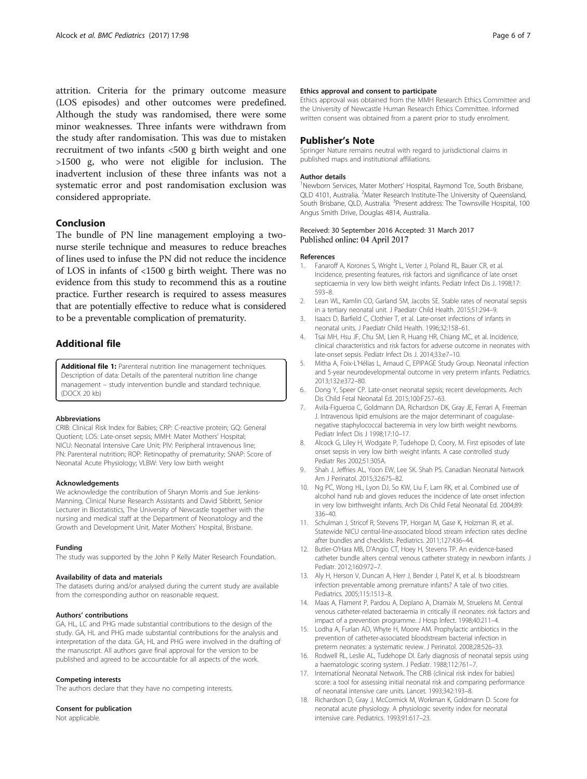<span id="page-5-0"></span>attrition. Criteria for the primary outcome measure (LOS episodes) and other outcomes were predefined. Although the study was randomised, there were some minor weaknesses. Three infants were withdrawn from the study after randomisation. This was due to mistaken recruitment of two infants <500 g birth weight and one >1500 g, who were not eligible for inclusion. The inadvertent inclusion of these three infants was not a systematic error and post randomisation exclusion was considered appropriate.

#### Conclusion

The bundle of PN line management employing a twonurse sterile technique and measures to reduce breaches of lines used to infuse the PN did not reduce the incidence of LOS in infants of <1500 g birth weight. There was no evidence from this study to recommend this as a routine practice. Further research is required to assess measures that are potentially effective to reduce what is considered to be a preventable complication of prematurity.

# Additional file

[Additional file 1:](dx.doi.org/10.1186/s12887-017-0855-3) Parenteral nutrition line management techniques. Description of data: Details of the parenteral nutrition line change management – study intervention bundle and standard technique. (DOCX 20 kb)

#### Abbreviations

CRIB: Clinical Risk Index for Babies; CRP: C-reactive protein; GQ: General Quotient; LOS: Late-onset sepsis; MMH: Mater Mothers' Hospital; NICU: Neonatal Intensive Care Unit; PIV: Peripheral intravenous line; PN: Parenteral nutrition; ROP: Retinopathy of prematurity; SNAP: Score of Neonatal Acute Physiology; VLBW: Very low birth weight

#### Acknowledgements

We acknowledge the contribution of Sharyn Morris and Sue Jenkins-Manning, Clinical Nurse Research Assistants and David Sibbritt, Senior Lecturer in Biostatistics, The University of Newcastle together with the nursing and medical staff at the Department of Neonatology and the Growth and Development Unit, Mater Mothers' Hospital, Brisbane.

#### Funding

The study was supported by the John P Kelly Mater Research Foundation.

#### Availability of data and materials

The datasets during and/or analysed during the current study are available from the corresponding author on reasonable request.

#### Authors' contributions

GA, HL, LC and PHG made substantial contributions to the design of the study. GA, HL and PHG made substantial contributions for the analysis and interpretation of the data. GA, HL and PHG were involved in the drafting of the manuscript. All authors gave final approval for the version to be published and agreed to be accountable for all aspects of the work.

#### Competing interests

The authors declare that they have no competing interests.

#### Consent for publication

Not applicable.

#### Ethics approval and consent to participate

Ethics approval was obtained from the MMH Research Ethics Committee and the University of Newcastle Human Research Ethics Committee. Informed written consent was obtained from a parent prior to study enrolment.

#### Publisher's Note

Springer Nature remains neutral with regard to jurisdictional claims in published maps and institutional affiliations.

#### Author details

<sup>1</sup>Newborn Services, Mater Mothers' Hospital, Raymond Tce, South Brisbane, QLD 4101, Australia. <sup>2</sup>Mater Research Institute-The University of Queensland, South Brisbane, QLD, Australia. <sup>3</sup>Present address: The Townsville Hospital, 100 Angus Smith Drive, Douglas 4814, Australia.

#### Received: 30 September 2016 Accepted: 31 March 2017 Published online: 04 April 2017

#### References

- 1. Fanaroff A, Korones S, Wright L, Verter J, Poland RL, Bauer CR, et al. Incidence, presenting features, risk factors and significance of late onset septicaemia in very low birth weight infants. Pediatr Infect Dis J. 1998;17: 593–8.
- 2. Lean WL, Kamlin CO, Garland SM, Jacobs SE. Stable rates of neonatal sepsis in a tertiary neonatal unit. J Paediatr Child Health. 2015;51:294–9.
- 3. Isaacs D, Barfield C, Clothier T, et al. Late-onset infections of infants in neonatal units. J Paediatr Child Health. 1996;32:158–61.
- 4. Tsai MH, Hsu JF, Chu SM, Lien R, Huang HR, Chiang MC, et al. Incidence, clinical characteristics and risk factors for adverse outcome in neonates with late-onset sepsis. Pediatr Infect Dis J. 2014;33:e7–10.
- 5. Mitha A, Foix-L'Hélias L, Arnaud C, EPIPAGE Study Group. Neonatal infection and 5-year neurodevelopmental outcome in very preterm infants. Pediatrics. 2013;132:e372–80.
- 6. Dong Y, Speer CP. Late-onset neonatal sepsis; recent developments. Arch Dis Child Fetal Neonatal Ed. 2015;100:F257–63.
- 7. Avila-Figueroa C, Goldmann DA, Richardson DK, Gray JE, Ferrari A, Freeman J. Intravenous lipid emulsions are the major determinant of coagulasenegative staphylococcal bacteremia in very low birth weight newborns. Pediatr Infect Dis J 1998;17:10–17.
- 8. Alcock G, Liley H, Wodgate P, Tudehope D, Coory, M. First episodes of late onset sepsis in very low birth weight infants. A case controlled study Pediatr Res 2002;51:305A.
- 9. Shah J, Jeffries AL, Yoon EW, Lee SK. Shah PS. Canadian Neonatal Network Am J Perinatol. 2015;32:675–82.
- 10. Ng PC, Wong HL, Lyon DJ, So KW, Liu F, Lam RK, et al. Combined use of alcohol hand rub and gloves reduces the incidence of late onset infection in very low birthweight infants. Arch Dis Child Fetal Neonatal Ed. 2004;89: 336–40.
- 11. Schulman J, Stricof R, Stevens TP, Horgan M, Gase K, Holzman IR, et al. Statewide NICU central-line-associated blood stream infection rates decline after bundles and checklists. Pediatrics. 2011;127:436–44.
- 12. Butler-O'Hara MB, D'Angio CT, Hoey H, Stevens TP. An evidence-based catheter bundle alters central venous catheter strategy in newborn infants. J Pediatr. 2012;160:972–7.
- 13. Aly H, Herson V, Duncan A, Herr J, Bender J, Patel K, et al. Is bloodstream infection preventable among premature infants? A tale of two cities. Pediatrics. 2005;115:1513–8.
- 14. Maas A, Flament P, Pardou A, Deplano A, Dramaix M, Struelens M. Central venous catheter-related bacteraemia in critically ill neonates: risk factors and impact of a prevention programme. J Hosp Infect. 1998;40:211–4.
- 15. Lodha A, Furlan AD, Whyte H, Moore AM. Prophylactic antibiotics in the prevention of catheter-associated bloodstream bacterial infection in preterm neonates: a systematic review. J Perinatol. 2008;28:526–33.
- 16. Rodwell RL, Leslie AL, Tudehope DI. Early diagnosis of neonatal sepsis using a haematologic scoring system. J Pediatr. 1988;112:761–7.
- 17. International Neonatal Network. The CRIB (clinical risk index for babies) score: a tool for assessing initial neonatal risk and comparing performance of neonatal intensive care units. Lancet. 1993;342:193–8.
- 18. Richardson D, Gray J, McCormick M, Workman K, Goldmann D. Score for neonatal acute physiology. A physiologic severity index for neonatal intensive care. Pediatrics. 1993;91:617–23.